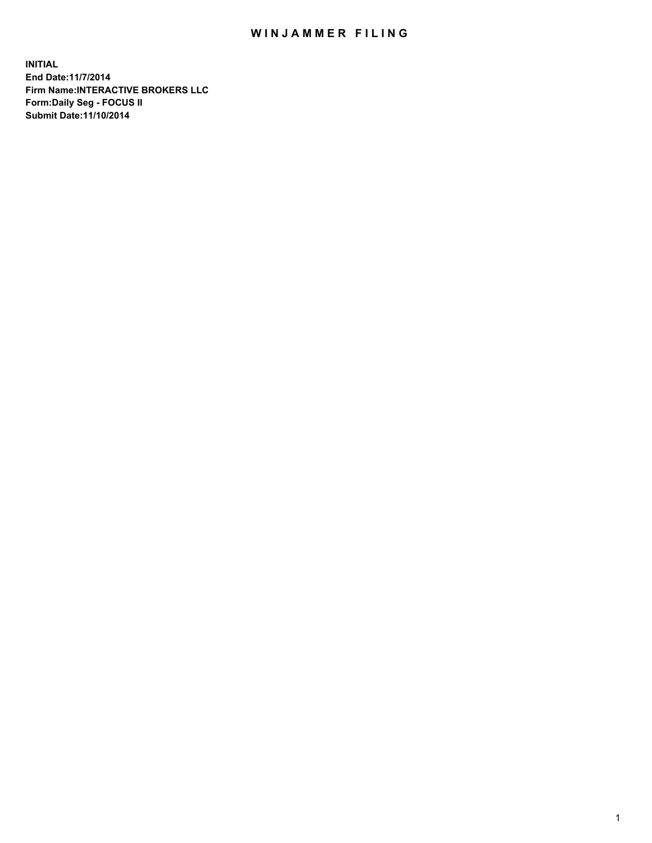## WIN JAMMER FILING

**INITIAL End Date:11/7/2014 Firm Name:INTERACTIVE BROKERS LLC Form:Daily Seg - FOCUS II Submit Date:11/10/2014**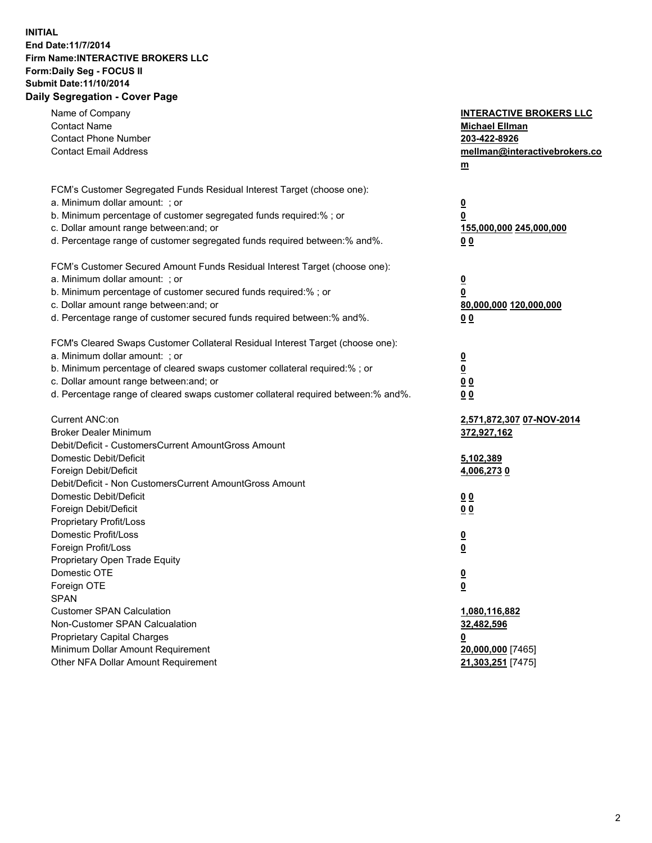## **INITIAL End Date:11/7/2014 Firm Name:INTERACTIVE BROKERS LLC Form:Daily Seg - FOCUS II Submit Date:11/10/2014 Daily Segregation - Cover Page**

| Name of Company<br><b>Contact Name</b><br><b>Contact Phone Number</b><br><b>Contact Email Address</b>                                                                                                                                                                                                                          | <b>INTERACTIVE BROKERS LLC</b><br><b>Michael Ellman</b><br>203-422-8926<br>mellman@interactivebrokers.co<br>$m$ |
|--------------------------------------------------------------------------------------------------------------------------------------------------------------------------------------------------------------------------------------------------------------------------------------------------------------------------------|-----------------------------------------------------------------------------------------------------------------|
| FCM's Customer Segregated Funds Residual Interest Target (choose one):<br>a. Minimum dollar amount: ; or<br>b. Minimum percentage of customer segregated funds required:% ; or<br>c. Dollar amount range between: and; or<br>d. Percentage range of customer segregated funds required between:% and%.                         | $\overline{\mathbf{0}}$<br>0<br>155,000,000 245,000,000<br>0 <sub>0</sub>                                       |
| FCM's Customer Secured Amount Funds Residual Interest Target (choose one):<br>a. Minimum dollar amount: ; or<br>b. Minimum percentage of customer secured funds required:% ; or<br>c. Dollar amount range between: and; or<br>d. Percentage range of customer secured funds required between:% and%.                           | $\overline{\mathbf{0}}$<br>0<br>80,000,000 120,000,000<br>0 <sub>0</sub>                                        |
| FCM's Cleared Swaps Customer Collateral Residual Interest Target (choose one):<br>a. Minimum dollar amount: ; or<br>b. Minimum percentage of cleared swaps customer collateral required:% ; or<br>c. Dollar amount range between: and; or<br>d. Percentage range of cleared swaps customer collateral required between:% and%. | $\overline{\mathbf{0}}$<br>$\underline{\mathbf{0}}$<br>0 <sub>0</sub><br>0 <sub>0</sub>                         |
| Current ANC:on<br><b>Broker Dealer Minimum</b><br>Debit/Deficit - CustomersCurrent AmountGross Amount<br>Domestic Debit/Deficit                                                                                                                                                                                                | 2,571,872,307 07-NOV-2014<br>372,927,162<br>5,102,389                                                           |
| Foreign Debit/Deficit<br>Debit/Deficit - Non CustomersCurrent AmountGross Amount<br>Domestic Debit/Deficit<br>Foreign Debit/Deficit<br>Proprietary Profit/Loss<br>Domestic Profit/Loss                                                                                                                                         | 4,006,2730<br>0 <sub>0</sub><br>0 <sub>0</sub><br>$\overline{\mathbf{0}}$                                       |
| Foreign Profit/Loss<br>Proprietary Open Trade Equity<br>Domestic OTE<br>Foreign OTE<br><b>SPAN</b><br><b>Customer SPAN Calculation</b>                                                                                                                                                                                         | $\overline{\mathbf{0}}$<br>$\underline{\mathbf{0}}$<br><u>0</u><br>1,080,116,882                                |
| Non-Customer SPAN Calcualation<br><b>Proprietary Capital Charges</b><br>Minimum Dollar Amount Requirement<br>Other NFA Dollar Amount Requirement                                                                                                                                                                               | 32,482,596<br><u>0</u><br>20,000,000 [7465]<br>21,303,251 [7475]                                                |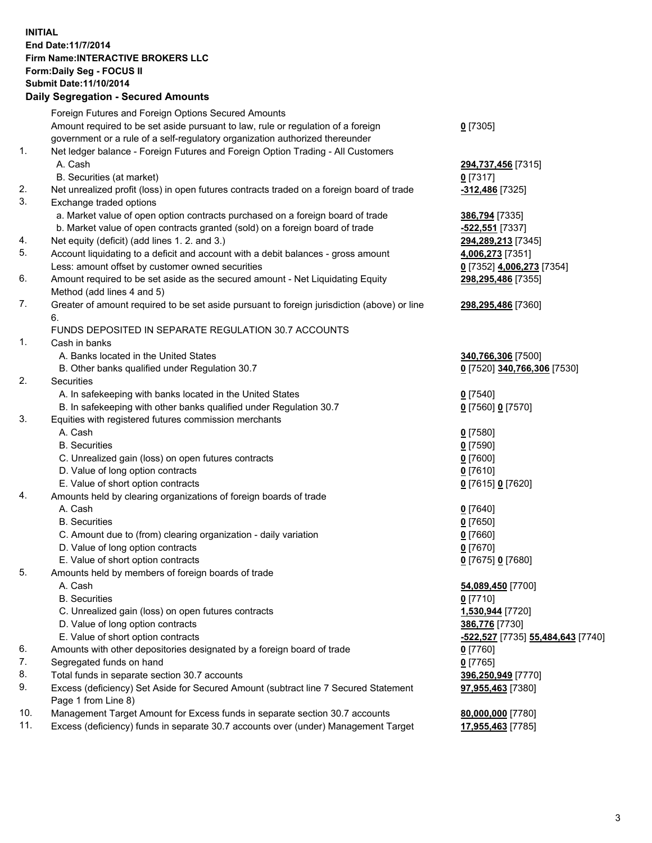## **INITIAL End Date:11/7/2014 Firm Name:INTERACTIVE BROKERS LLC Form:Daily Seg - FOCUS II Submit Date:11/10/2014 Daily Segregation - Secured Amounts**

|          | Daily Jegiegation - Jeculed Aniounts                                                                       |                                   |
|----------|------------------------------------------------------------------------------------------------------------|-----------------------------------|
|          | Foreign Futures and Foreign Options Secured Amounts                                                        |                                   |
|          | Amount required to be set aside pursuant to law, rule or regulation of a foreign                           | $0$ [7305]                        |
|          | government or a rule of a self-regulatory organization authorized thereunder                               |                                   |
| 1.       | Net ledger balance - Foreign Futures and Foreign Option Trading - All Customers                            |                                   |
|          | A. Cash                                                                                                    | 294,737,456 [7315]                |
|          | B. Securities (at market)                                                                                  | $0$ [7317]                        |
| 2.       | Net unrealized profit (loss) in open futures contracts traded on a foreign board of trade                  | -312,486 [7325]                   |
| 3.       | Exchange traded options                                                                                    |                                   |
|          | a. Market value of open option contracts purchased on a foreign board of trade                             | 386,794 [7335]                    |
|          | b. Market value of open contracts granted (sold) on a foreign board of trade                               | -522,551 [7337]                   |
| 4.       | Net equity (deficit) (add lines 1.2. and 3.)                                                               | 294,289,213 [7345]                |
| 5.       | Account liquidating to a deficit and account with a debit balances - gross amount                          | 4,006,273 [7351]                  |
|          | Less: amount offset by customer owned securities                                                           | 0 [7352] 4,006,273 [7354]         |
| 6.       | Amount required to be set aside as the secured amount - Net Liquidating Equity                             | 298,295,486 [7355]                |
|          | Method (add lines 4 and 5)                                                                                 |                                   |
| 7.       | Greater of amount required to be set aside pursuant to foreign jurisdiction (above) or line                | 298,295,486 [7360]                |
|          | 6.                                                                                                         |                                   |
|          | FUNDS DEPOSITED IN SEPARATE REGULATION 30.7 ACCOUNTS                                                       |                                   |
| 1.       | Cash in banks                                                                                              |                                   |
|          | A. Banks located in the United States                                                                      | 340,766,306 [7500]                |
|          | B. Other banks qualified under Regulation 30.7                                                             | 0 [7520] 340,766,306 [7530]       |
| 2.       | Securities                                                                                                 |                                   |
|          | A. In safekeeping with banks located in the United States                                                  | $Q$ [7540]                        |
|          | B. In safekeeping with other banks qualified under Regulation 30.7                                         | 0 [7560] 0 [7570]                 |
| 3.       | Equities with registered futures commission merchants                                                      |                                   |
|          | A. Cash                                                                                                    | $0$ [7580]                        |
|          | <b>B.</b> Securities                                                                                       | $0$ [7590]                        |
|          | C. Unrealized gain (loss) on open futures contracts                                                        | $0$ [7600]                        |
|          | D. Value of long option contracts                                                                          | $0$ [7610]                        |
|          | E. Value of short option contracts                                                                         | 0 [7615] 0 [7620]                 |
| 4.       | Amounts held by clearing organizations of foreign boards of trade                                          |                                   |
|          | A. Cash                                                                                                    | $0$ [7640]                        |
|          | <b>B.</b> Securities                                                                                       | $0$ [7650]                        |
|          | C. Amount due to (from) clearing organization - daily variation                                            | $0$ [7660]                        |
|          | D. Value of long option contracts                                                                          | $0$ [7670]                        |
|          | E. Value of short option contracts                                                                         | 0 [7675] 0 [7680]                 |
| 5.       | Amounts held by members of foreign boards of trade                                                         |                                   |
|          | A. Cash                                                                                                    | 54,089,450 [7700]                 |
|          | <b>B.</b> Securities                                                                                       | $0$ [7710]                        |
|          | C. Unrealized gain (loss) on open futures contracts                                                        | 1,530,944 [7720]                  |
|          | D. Value of long option contracts                                                                          | 386,776 [7730]                    |
|          | E. Value of short option contracts                                                                         | -522,527 [7735] 55,484,643 [7740] |
| 6.       | Amounts with other depositories designated by a foreign board of trade                                     |                                   |
| 7.       |                                                                                                            | 0 [7760]                          |
|          | Segregated funds on hand                                                                                   | $0$ [7765]                        |
| 8.<br>9. | Total funds in separate section 30.7 accounts                                                              | 396,250,949 [7770]                |
|          | Excess (deficiency) Set Aside for Secured Amount (subtract line 7 Secured Statement<br>Page 1 from Line 8) | 97,955,463 [7380]                 |
| 10.      | Management Target Amount for Excess funds in separate section 30.7 accounts                                | 80,000,000 [7780]                 |
| 11.      | Excess (deficiency) funds in separate 30.7 accounts over (under) Management Target                         | 17,955,463 [7785]                 |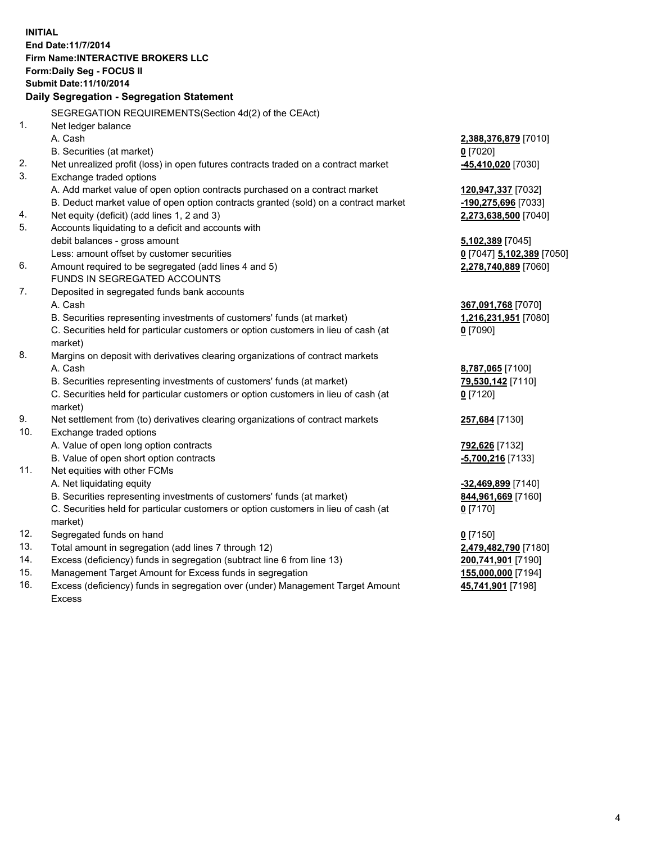**INITIAL End Date:11/7/2014 Firm Name:INTERACTIVE BROKERS LLC Form:Daily Seg - FOCUS II Submit Date:11/10/2014 Daily Segregation - Segregation Statement** SEGREGATION REQUIREMENTS(Section 4d(2) of the CEAct) 1. Net ledger balance A. Cash **2,388,376,879** [7010] B. Securities (at market) **0** [7020] 2. Net unrealized profit (loss) in open futures contracts traded on a contract market **-45,410,020** [7030] 3. Exchange traded options A. Add market value of open option contracts purchased on a contract market **120,947,337** [7032] B. Deduct market value of open option contracts granted (sold) on a contract market **-190,275,696** [7033] 4. Net equity (deficit) (add lines 1, 2 and 3) **2,273,638,500** [7040] 5. Accounts liquidating to a deficit and accounts with debit balances - gross amount **5,102,389** [7045] Less: amount offset by customer securities **0** [7047] **5,102,389** [7050] 6. Amount required to be segregated (add lines 4 and 5) **2,278,740,889** [7060] FUNDS IN SEGREGATED ACCOUNTS 7. Deposited in segregated funds bank accounts A. Cash **367,091,768** [7070] B. Securities representing investments of customers' funds (at market) **1,216,231,951** [7080] C. Securities held for particular customers or option customers in lieu of cash (at market) **0** [7090] 8. Margins on deposit with derivatives clearing organizations of contract markets A. Cash **8,787,065** [7100] B. Securities representing investments of customers' funds (at market) **79,530,142** [7110] C. Securities held for particular customers or option customers in lieu of cash (at market) **0** [7120] 9. Net settlement from (to) derivatives clearing organizations of contract markets **257,684** [7130] 10. Exchange traded options A. Value of open long option contracts **792,626** [7132] B. Value of open short option contracts **-5,700,216** [7133] 11. Net equities with other FCMs A. Net liquidating equity **-32,469,899** [7140] B. Securities representing investments of customers' funds (at market) **844,961,669** [7160] C. Securities held for particular customers or option customers in lieu of cash (at market) **0** [7170] 12. Segregated funds on hand **0** [7150] 13. Total amount in segregation (add lines 7 through 12) **2,479,482,790** [7180] 14. Excess (deficiency) funds in segregation (subtract line 6 from line 13) **200,741,901** [7190] 15. Management Target Amount for Excess funds in segregation **155,000,000** [7194]

16. Excess (deficiency) funds in segregation over (under) Management Target Amount Excess

**45,741,901** [7198]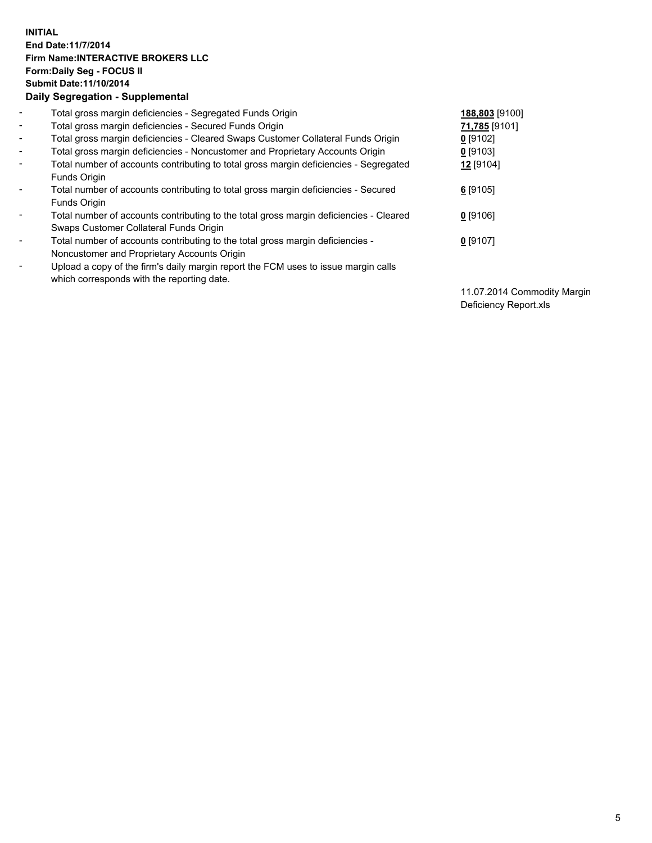## **INITIAL End Date:11/7/2014 Firm Name:INTERACTIVE BROKERS LLC Form:Daily Seg - FOCUS II Submit Date:11/10/2014 Daily Segregation - Supplemental**

| $\blacksquare$           | Total gross margin deficiencies - Segregated Funds Origin                              | 188,803 [9100] |
|--------------------------|----------------------------------------------------------------------------------------|----------------|
| $\sim$                   | Total gross margin deficiencies - Secured Funds Origin                                 | 71,785 [9101]  |
| $\blacksquare$           | Total gross margin deficiencies - Cleared Swaps Customer Collateral Funds Origin       | $0$ [9102]     |
| $\blacksquare$           | Total gross margin deficiencies - Noncustomer and Proprietary Accounts Origin          | $0$ [9103]     |
| $\blacksquare$           | Total number of accounts contributing to total gross margin deficiencies - Segregated  | 12 [9104]      |
|                          | Funds Origin                                                                           |                |
| $\blacksquare$           | Total number of accounts contributing to total gross margin deficiencies - Secured     | $6$ [9105]     |
|                          | <b>Funds Origin</b>                                                                    |                |
| $\blacksquare$           | Total number of accounts contributing to the total gross margin deficiencies - Cleared | $0$ [9106]     |
|                          | Swaps Customer Collateral Funds Origin                                                 |                |
| $\overline{\phantom{a}}$ | Total number of accounts contributing to the total gross margin deficiencies -         | $0$ [9107]     |
|                          | Noncustomer and Proprietary Accounts Origin                                            |                |
| $\overline{\phantom{a}}$ | Upload a copy of the firm's daily margin report the FCM uses to issue margin calls     |                |
|                          | which corresponds with the reporting date.                                             |                |

11.07.2014 Commodity Margin Deficiency Report.xls